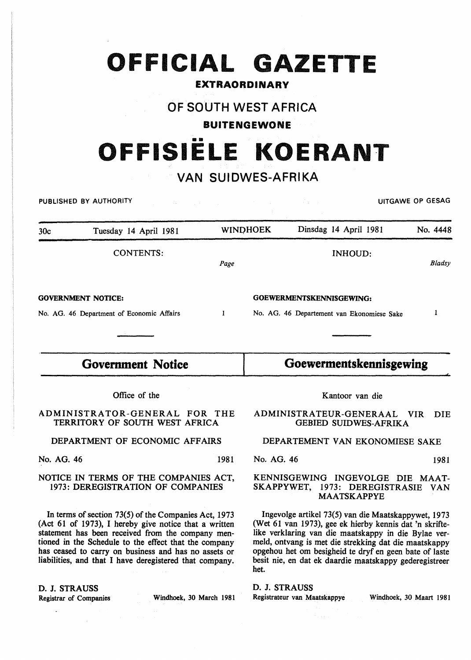# **OFFICIAL GAZETTE**

### EXTRAORDINARY

## OF SOUTH WEST AFRICA

#### BUITENGEWONE

## •• **OFFISIELE KOERANT**

## VAN SUIDWES-AFRIKA

PUBLISHED BY AUTHORITY AND RESAGRAPHIC CONTROL CONTROL CONTROL CONTROL CONTROL CONTROL CONTROL CONTROL CONTROL CONTROL CONTROL CONTROL CONTROL CONTROL CONTROL CONTROL CONTROL CONTROL CONTROL CONTROL CONTROL CONTROL CONTROL

| 30c                                       | Tuesday 14 April 1981 |      | <b>WINDHOEK</b>          | Dinsdag 14 April 1981                      | No. 4448 |
|-------------------------------------------|-----------------------|------|--------------------------|--------------------------------------------|----------|
|                                           | <b>CONTENTS:</b>      | Page |                          | INHOUD:                                    | Bladsy   |
| <b>GOVERNMENT NOTICE:</b>                 |                       |      | GOEWERMENTSKENNISGEWING: |                                            |          |
| No. AG. 46 Department of Economic Affairs |                       |      |                          | No. AG. 46 Departement van Ekonomiese Sake |          |
|                                           |                       |      |                          |                                            |          |

## **Government Notice**

**Goewermentskennisgewing** 

Office of the

ADMINISTRATOR-GENERAL FOR THE TERRITORY OF SOUTH WEST AFRICA

DEPARTMENT OF ECONOMIC AFFAIRS

No. AG. 46 1981

NOTICE IN TERMS OF THE COMPANIES ACT,

1973: DEREGISTRATION OF COMPANIES

In terms of section 73(5) of the Companies Act, 1973 (Act 61 of 1973), I hereby give notice that a written statement has been received from the company mentioned in the Schedule to the effect that the company has ceased to carry on business and has no assets or liabilities, and that I have deregistered that company.

D. J. STRAUSS

Registrar of Companies Windhoek, 30 March 1981

Kantoor van die

ADMINISTRA TEUR-GENERAAL VIR DIE GEBIED SUIDWES-AFRIKA

### DEPARTEMENT VAN EKONOMIESE SAKE

No. AG. 46 1981

#### KENNISGEWING INGEVOLGE DIE MAAT-SKAPPYWET, 1973: DEREGISTRASIE VAN MAATSKAPPYE

Ingevolge artikel 73(5) van die Maatskappywet, 1973 (Wet 61 van 1973), gee ek hierby kennis dat 'n skriftelike verklaring van die maatskappy in die Bylae vermeld, ontvang is met die strekking dat die maatskappy opgehou het om besigheid te dryf en geen bate of laste besit nie, en dat ek daardie maatskappy gederegistreer het.

D. J. STRAUSS

Registrateur van Maatskappye Windhoek, 30 Maart 1981